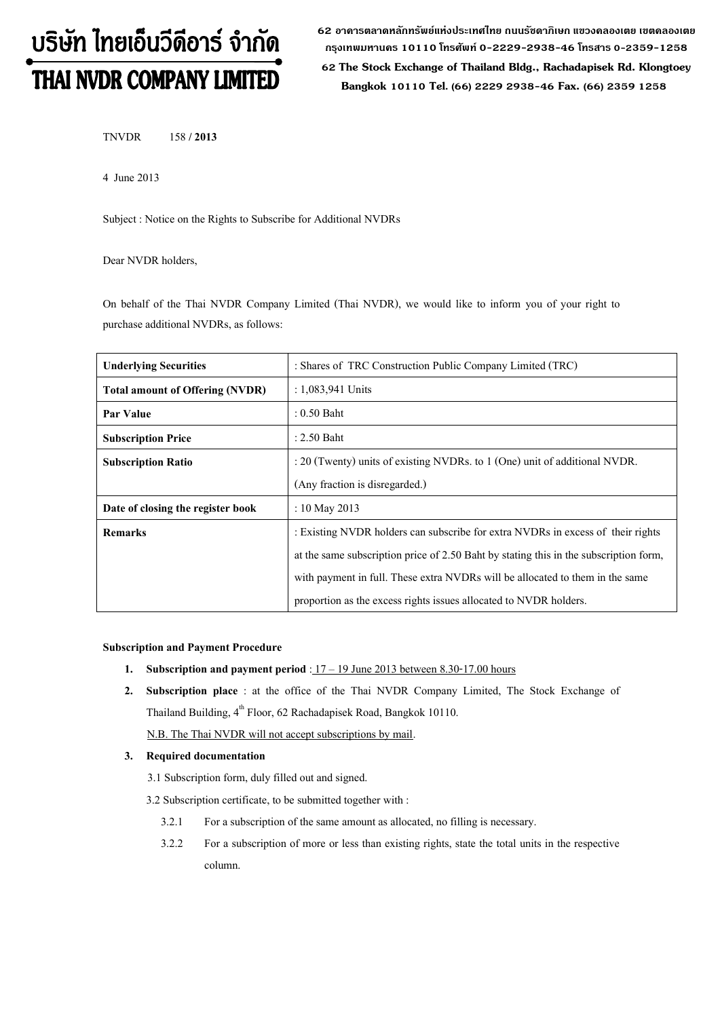# บริษัท ไทยเอ็นวีดีอาร์ จำกัด THAI NVDR COMPANY LIMITED

**62 อาคารตลาดหลักทรัพย์แห่งประเทศไทย ถนนรัชดาภิเษก แขวงคลองเตย เขตคลองเตย กรุงเทพมหานคร 10110 โทรศัพท์0-2229-2938-46 โทรสาร 0-2359-1258**

 **62 The Stock Exchange of Thailand Bldg., Rachadapisek Rd. Klongtoey Bangkok 10110 Tel. (66) 2229 2938-46 Fax. (66) 2359 1258**

TNVDR 158 **/ 2013**

4 June 2013

Subject : Notice on the Rights to Subscribe for Additional NVDRs

Dear NVDR holders,

On behalf of the Thai NVDR Company Limited (Thai NVDR), we would like to inform you of your right to purchase additional NVDRs, as follows:

| <b>Underlying Securities</b>           | : Shares of TRC Construction Public Company Limited (TRC)                             |  |  |  |
|----------------------------------------|---------------------------------------------------------------------------------------|--|--|--|
| <b>Total amount of Offering (NVDR)</b> | : $1,083,941$ Units                                                                   |  |  |  |
| Par Value                              | $: 0.50$ Baht                                                                         |  |  |  |
| <b>Subscription Price</b>              | $: 2.50$ Baht                                                                         |  |  |  |
| <b>Subscription Ratio</b>              | : 20 (Twenty) units of existing NVDRs. to 1 (One) unit of additional NVDR.            |  |  |  |
|                                        | (Any fraction is disregarded.)                                                        |  |  |  |
| Date of closing the register book      | : 10 May 2013                                                                         |  |  |  |
| <b>Remarks</b>                         | : Existing NVDR holders can subscribe for extra NVDRs in excess of their rights       |  |  |  |
|                                        | at the same subscription price of 2.50 Baht by stating this in the subscription form, |  |  |  |
|                                        | with payment in full. These extra NVDRs will be allocated to them in the same         |  |  |  |
|                                        | proportion as the excess rights issues allocated to NVDR holders.                     |  |  |  |

#### **Subscription and Payment Procedure**

- **1. Subscription and payment period**:17 19 June 2013 between 8.30-17.00 hours
- **2. Subscription place** : at the office of the Thai NVDR Company Limited, The Stock Exchange of Thailand Building, 4<sup>th</sup> Floor, 62 Rachadapisek Road, Bangkok 10110.

N.B. The Thai NVDR will not accept subscriptions by mail.

#### **3. Required documentation**

- 3.1 Subscription form, duly filled out and signed.
- 3.2 Subscription certificate, to be submitted together with :
	- 3.2.1 For a subscription of the same amount as allocated, no filling is necessary.
	- 3.2.2 For a subscription of more or less than existing rights, state the total units in the respective column.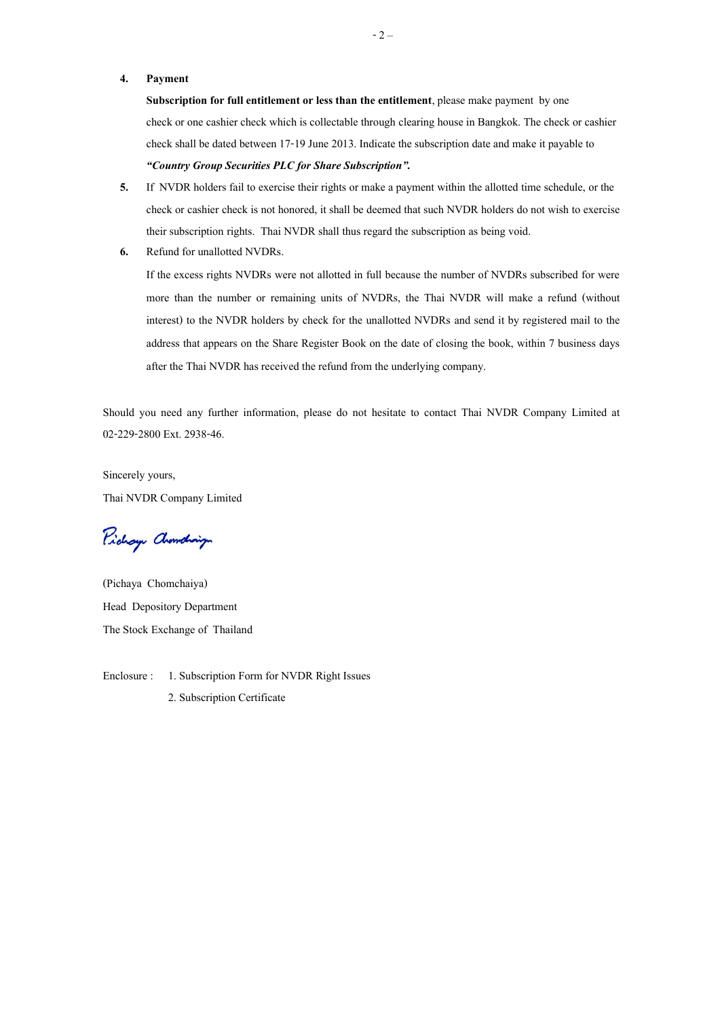#### **4. Payment**

**Subscription for full entitlement or less than the entitlement**, please make payment by one check or one cashier check which is collectable through clearing house in Bangkok. The check or cashier check shall be dated between 17-19 June 2013. Indicate the subscription date and make it payable to *"Country Group Securities PLC for Share Subscription".*

- **5.** If NVDR holders fail to exercise their rights or make a payment within the allotted time schedule, or the check or cashier check is not honored, it shall be deemed that such NVDR holders do not wish to exercise their subscription rights. Thai NVDR shall thus regard the subscription as being void.
- **6.** Refund for unallotted NVDRs.

If the excess rights NVDRs were not allotted in full because the number of NVDRs subscribed for were more than the number or remaining units of NVDRs, the Thai NVDR will make a refund (without interest) to the NVDR holders by check for the unallotted NVDRs and send it by registered mail to the address that appears on the Share Register Book on the date of closing the book, within 7 business days after the Thai NVDR has received the refund from the underlying company.

Should you need any further information, please do not hesitate to contact Thai NVDR Company Limited at 02-229-2800 Ext. 2938-46.

Sincerely yours, Thai NVDR Company Limited

Pichay Chanding

(Pichaya Chomchaiya) Head Depository Department The Stock Exchange of Thailand

Enclosure : 1. Subscription Form for NVDR Right Issues 2. Subscription Certificate